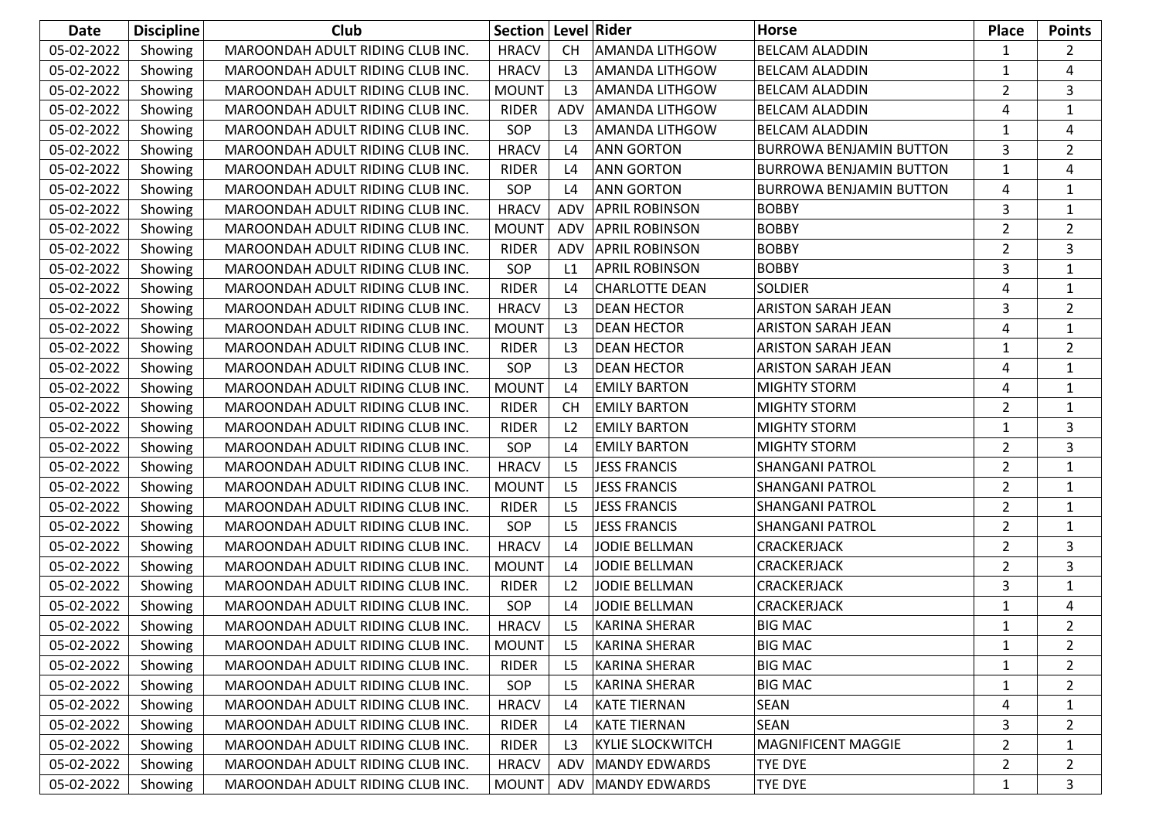| <b>Date</b> | <b>Discipline</b> | Club                             | Section   Level   Rider |                |                         | <b>Horse</b>                   | <b>Place</b>   | <b>Points</b>  |
|-------------|-------------------|----------------------------------|-------------------------|----------------|-------------------------|--------------------------------|----------------|----------------|
| 05-02-2022  | Showing           | MAROONDAH ADULT RIDING CLUB INC. | <b>HRACV</b>            | <b>CH</b>      | <b>AMANDA LITHGOW</b>   | <b>BELCAM ALADDIN</b>          | $\mathbf{1}$   | $\overline{2}$ |
| 05-02-2022  | Showing           | MAROONDAH ADULT RIDING CLUB INC. | <b>HRACV</b>            | L <sub>3</sub> | <b>AMANDA LITHGOW</b>   | <b>BELCAM ALADDIN</b>          | $\mathbf{1}$   | 4              |
| 05-02-2022  | Showing           | MAROONDAH ADULT RIDING CLUB INC. | <b>MOUNT</b>            | L <sub>3</sub> | <b>AMANDA LITHGOW</b>   | <b>BELCAM ALADDIN</b>          | 2              | 3              |
| 05-02-2022  | Showing           | MAROONDAH ADULT RIDING CLUB INC. | <b>RIDER</b>            | ADV            | <b>AMANDA LITHGOW</b>   | <b>BELCAM ALADDIN</b>          | 4              | $\mathbf{1}$   |
| 05-02-2022  | Showing           | MAROONDAH ADULT RIDING CLUB INC. | SOP                     | L <sub>3</sub> | <b>AMANDA LITHGOW</b>   | <b>BELCAM ALADDIN</b>          | 1              | 4              |
| 05-02-2022  | Showing           | MAROONDAH ADULT RIDING CLUB INC. | <b>HRACV</b>            | L4             | <b>ANN GORTON</b>       | <b>BURROWA BENJAMIN BUTTON</b> | 3              | $\overline{2}$ |
| 05-02-2022  | Showing           | MAROONDAH ADULT RIDING CLUB INC. | <b>RIDER</b>            | L <sub>4</sub> | <b>ANN GORTON</b>       | <b>BURROWA BENJAMIN BUTTON</b> | $\mathbf{1}$   | 4              |
| 05-02-2022  | Showing           | MAROONDAH ADULT RIDING CLUB INC. | SOP                     | L4             | <b>ANN GORTON</b>       | <b>BURROWA BENJAMIN BUTTON</b> | 4              | 1              |
| 05-02-2022  | Showing           | MAROONDAH ADULT RIDING CLUB INC. | <b>HRACV</b>            | ADV            | <b>APRIL ROBINSON</b>   | <b>BOBBY</b>                   | 3              | $\mathbf{1}$   |
| 05-02-2022  | Showing           | MAROONDAH ADULT RIDING CLUB INC. | <b>MOUNT</b>            | <b>ADV</b>     | <b>APRIL ROBINSON</b>   | <b>BOBBY</b>                   | $\overline{2}$ | $\overline{2}$ |
| 05-02-2022  | Showing           | MAROONDAH ADULT RIDING CLUB INC. | <b>RIDER</b>            | ADV            | <b>APRIL ROBINSON</b>   | <b>BOBBY</b>                   | $\overline{2}$ | 3              |
| 05-02-2022  | Showing           | MAROONDAH ADULT RIDING CLUB INC. | SOP                     | L1             | <b>APRIL ROBINSON</b>   | <b>BOBBY</b>                   | 3              | $\mathbf{1}$   |
| 05-02-2022  | Showing           | MAROONDAH ADULT RIDING CLUB INC. | <b>RIDER</b>            | L4             | <b>CHARLOTTE DEAN</b>   | <b>SOLDIER</b>                 | 4              | $\mathbf{1}$   |
| 05-02-2022  | Showing           | MAROONDAH ADULT RIDING CLUB INC. | <b>HRACV</b>            | L <sub>3</sub> | <b>DEAN HECTOR</b>      | <b>ARISTON SARAH JEAN</b>      | 3              | $\overline{2}$ |
| 05-02-2022  | Showing           | MAROONDAH ADULT RIDING CLUB INC. | <b>MOUNT</b>            | L3             | <b>DEAN HECTOR</b>      | <b>ARISTON SARAH JEAN</b>      | 4              | $\mathbf{1}$   |
| 05-02-2022  | Showing           | MAROONDAH ADULT RIDING CLUB INC. | <b>RIDER</b>            | L <sub>3</sub> | <b>DEAN HECTOR</b>      | <b>ARISTON SARAH JEAN</b>      | 1              | $\overline{2}$ |
| 05-02-2022  | Showing           | MAROONDAH ADULT RIDING CLUB INC. | SOP                     | L <sub>3</sub> | <b>DEAN HECTOR</b>      | <b>ARISTON SARAH JEAN</b>      | 4              | $\mathbf{1}$   |
| 05-02-2022  | Showing           | MAROONDAH ADULT RIDING CLUB INC. | <b>MOUNT</b>            | L4             | <b>EMILY BARTON</b>     | <b>MIGHTY STORM</b>            | 4              | $\mathbf{1}$   |
| 05-02-2022  | Showing           | MAROONDAH ADULT RIDING CLUB INC. | <b>RIDER</b>            | <b>CH</b>      | <b>EMILY BARTON</b>     | <b>MIGHTY STORM</b>            | $\overline{2}$ | $\mathbf{1}$   |
| 05-02-2022  | Showing           | MAROONDAH ADULT RIDING CLUB INC. | <b>RIDER</b>            | L2             | <b>EMILY BARTON</b>     | <b>MIGHTY STORM</b>            | $\mathbf{1}$   | 3              |
| 05-02-2022  | Showing           | MAROONDAH ADULT RIDING CLUB INC. | SOP                     | L4             | <b>EMILY BARTON</b>     | <b>MIGHTY STORM</b>            | $\overline{2}$ | 3              |
| 05-02-2022  | Showing           | MAROONDAH ADULT RIDING CLUB INC. | <b>HRACV</b>            | L <sub>5</sub> | <b>JESS FRANCIS</b>     | <b>SHANGANI PATROL</b>         | $\overline{2}$ | $\mathbf{1}$   |
| 05-02-2022  | Showing           | MAROONDAH ADULT RIDING CLUB INC. | <b>MOUNT</b>            | L <sub>5</sub> | <b>JESS FRANCIS</b>     | <b>SHANGANI PATROL</b>         | $\overline{2}$ | $\mathbf{1}$   |
| 05-02-2022  | Showing           | MAROONDAH ADULT RIDING CLUB INC. | <b>RIDER</b>            | L <sub>5</sub> | <b>JESS FRANCIS</b>     | <b>SHANGANI PATROL</b>         | $\overline{2}$ | $\mathbf{1}$   |
| 05-02-2022  | Showing           | MAROONDAH ADULT RIDING CLUB INC. | SOP                     | L <sub>5</sub> | <b>JESS FRANCIS</b>     | <b>SHANGANI PATROL</b>         | $\overline{2}$ | $\mathbf{1}$   |
| 05-02-2022  | Showing           | MAROONDAH ADULT RIDING CLUB INC. | <b>HRACV</b>            | L4             | <b>JODIE BELLMAN</b>    | CRACKERJACK                    | $\overline{2}$ | 3              |
| 05-02-2022  | Showing           | MAROONDAH ADULT RIDING CLUB INC. | <b>MOUNT</b>            | L4             | <b>JODIE BELLMAN</b>    | CRACKERJACK                    | $\overline{2}$ | 3              |
| 05-02-2022  | Showing           | MAROONDAH ADULT RIDING CLUB INC. | <b>RIDER</b>            | L2             | <b>JODIE BELLMAN</b>    | CRACKERJACK                    | 3              | $\mathbf{1}$   |
| 05-02-2022  | Showing           | MAROONDAH ADULT RIDING CLUB INC. | SOP                     | L4             | <b>JODIE BELLMAN</b>    | CRACKERJACK                    | $\mathbf{1}$   | 4              |
| 05-02-2022  | Showing           | MAROONDAH ADULT RIDING CLUB INC. | <b>HRACV</b>            | L <sub>5</sub> | <b>KARINA SHERAR</b>    | <b>BIG MAC</b>                 | 1              | $\overline{2}$ |
| 05-02-2022  | Showing           | MAROONDAH ADULT RIDING CLUB INC. | <b>MOUNT</b>            | L5             | <b>KARINA SHERAR</b>    | <b>BIG MAC</b>                 | $\mathbf{1}$   | $\overline{2}$ |
| 05-02-2022  | Showing           | MAROONDAH ADULT RIDING CLUB INC. | <b>RIDER</b>            | L5             | <b>KARINA SHERAR</b>    | <b>BIG MAC</b>                 | 1              | $\overline{2}$ |
| 05-02-2022  | Showing           | MAROONDAH ADULT RIDING CLUB INC. | SOP                     | L5             | <b>KARINA SHERAR</b>    | <b>BIG MAC</b>                 | 1              | $\overline{2}$ |
| 05-02-2022  | Showing           | MAROONDAH ADULT RIDING CLUB INC. | <b>HRACV</b>            | L4             | <b>KATE TIERNAN</b>     | <b>SEAN</b>                    | 4              | $\mathbf{1}$   |
| 05-02-2022  | Showing           | MAROONDAH ADULT RIDING CLUB INC. | <b>RIDER</b>            | L4             | <b>KATE TIERNAN</b>     | SEAN                           | 3              | $\overline{2}$ |
| 05-02-2022  | Showing           | MAROONDAH ADULT RIDING CLUB INC. | RIDER                   | L3             | <b>KYLIE SLOCKWITCH</b> | <b>MAGNIFICENT MAGGIE</b>      | $\overline{2}$ | $\mathbf{1}$   |
| 05-02-2022  | Showing           | MAROONDAH ADULT RIDING CLUB INC. | <b>HRACV</b>            | ADV            | <b>MANDY EDWARDS</b>    | <b>TYE DYE</b>                 | $\overline{2}$ | $\overline{2}$ |
| 05-02-2022  | Showing           | MAROONDAH ADULT RIDING CLUB INC. | <b>MOUNT</b>            | ADV            | MANDY EDWARDS           | TYE DYE                        | $\mathbf{1}$   | 3              |